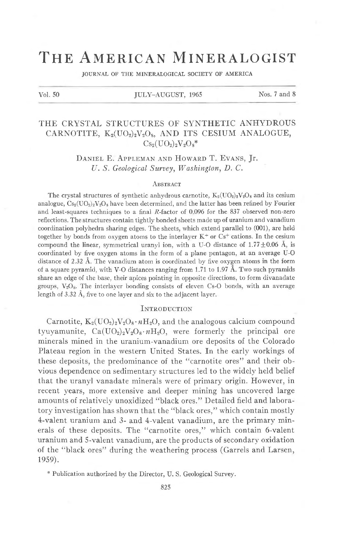# THE AMERICAN MINERALOGIST

JOURNAL OF THE MINERALOGICAL SOCIETY OF AMERICA

### VOLY-AUGUST, 1965 Nos. 7 and 8

# THE CRYSTAL STRUCTURES OF SYNTHETIC ANHYDROUS CARNOTITE,  $K_2(UO_2)_2V_2O_8$ , AND ITS CESIUM ANALOGUE,  $Cs_2( UO_2)_2V_2O_8*$

DANIEL E. APPLEMAN AND HOWARD T. EVANS, Jr. LI . S. Geological Suruey, Washington, D. C.

#### ABSTRACT

The crystal structures of synthetic anhydrous carnotite,  $K_2(\text{UO}_2)_2V_2O_8$  and its cesium analogue,  $Cs_2(UO_2)_2V_2O_8$  have been determined, and the latter has been refined by Fourier and least-squares techniques to a final R-factor of 0 096 for the 837 observed non-zero reflections. The structures contain tightly bonded sheets made up of uranium and vanadium coordination polyhedra sharing edges. The sheets, which extend parallel to (001), are held together by bonds from oxygen atoms to the interlayer  $K^+$  or  $Cs^+$  cations. In the cesium compound the linear, symmetrical uranyl ion, with a U-O distance of  $1.77 \pm 0.06$  Å, is coordinated by fiwe oxygen atoms in the form of a plane pentagon, at an average U-O distance of  $2.32$  Å. The vanadium atom is coordinated by five oxygen atoms in the form of a square pyramid, with V-O distances ranging from 1.71 to 1.97  $\AA$ . Two such pyramids share an edge of the base, their apices pointing in opposite directions, to form divanadate groups,  $V_2O_8$ . The interlayer bonding consists of eleven Cs-O bonds, with an average length of 3.32 Å, five to one layer and six to the adjacent layer.

#### INTRODUCTION

Carnotite,  $K_2(UO_2)_2V_2O_8 \cdot nH_2O$ , and the analogous calcium compound tyuyamunite,  $Ca(UO<sub>2</sub>)<sub>2</sub>V<sub>2</sub>O<sub>8</sub>·nH<sub>2</sub>O$ , were formerly the principal ore minerals mined in the uranium-vanadium ore deposits of the Colorado Plateau region in the western United States. In the early workings of these deposits, the predominance of the "carnotite ores" and their obvious dependence on sedimentary structures led to the widely held belief that the uranyl vanadate minerals were of primary origin. However, in recent years, more extensive and deeper mining has uncovered large amounts of relativelv unoxidized "black ores." Detailed field and laboratory investigation has shown that the "black ores," which contain mostly -valent uranium and 3- and 4-valent vanadium, are the primary minerals of these deposits. The "carnotite ores," which contain 6-valent uranium and 5-valent vanadium, are the products of secondary oxidation of the "black ores" during the weathering process (Garreis and Larsen, 1959).

+ Publication authorized by the Director, U. S. Geological Survey.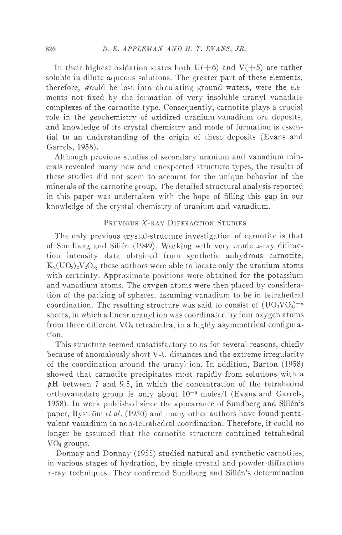In their highest oxidation states both  $U(+6)$  and  $V(+5)$  are rather soluble in dilute aqueous solutions. The greater part of these elements, therefore, would be lost into circulating ground waters, were the elements not fixed by the formation of very insoluble uranyl vanadate complexes of the carnotite type. Consequently, carnotite plays a crucial role in the geochemistry of oxidized uranium-vanadium ore deposits, and knowledge of its crystai chemistry and mode of formation is essential to an understanding of the origin of these deposits (Evans and Garreis. 1958).

Although previous studies of secondary uranium and vanadium minerals revealed many new and unexpected structure types, the results of these studies did not seem to account for the unique behavior of the minerals of the carnotite group. The detaiied structural analysis reported in this paper was undertaken with the hope of filling this gap in our knowledge of the crystal chemistry of uranium and vanadium.

## PREVIOUS  $X$ -RAY DIFFRACTION STUDIES

The only previous crystal-structure investigation of carnotite is that of Sundberg and Sillén (1949). Working with very crude  $x$ -ray diffraction intensity- data obtained from synthetic anhydrous carnotite,  $K_2( UO_2)_2V_2O_8$ , these authors were able to locate only the uranium atoms with certainty. Approximate positions were obtained for the potassium and vanadium atoms. The oxygen atoms were then placed by consideration of the packing of spheres, assuming vanadium to be in tetrahedral coordination. The resulting structure was said to consist of  $(UO_2VO_4)^{-n}$ sheets, in which a linear uranyl ion was coordinated by four oxygen atoms from three different  $VO<sub>4</sub>$  tetrahedra, in a highly asymmetrical configuration.

This structure seemed unsatisfactory to us for several reasons, chiefly because of anomalously short V-U distances and the extreme irregularity of the coordination around the uranyl ion. In addition, Barton (1958) showed that carnotite precipitates most rapidly from solutions with a  $\psi$ H between 7 and 9.5, in which the concentration of the tetrahedral orthovanadate group is only about  $10^{-9}$  moles/l (Evans and Garrels, 1958). In work published since the appearance of Sundberg and Sillén's paper, Byström et al. (1950) and many other authors have found pentavalent vanadium in non-tetrahedral coordination. Therefore, it could no Ionger be assumed that the carnotite structure contained tetrahedral VOa groups.

Donnay and Donnav (1955) studied natural and synthetic carnotites, in various stages of hydration, by single-crystal and powder-diffraction  $x$ -ray techniques. They confirmed Sundberg and Sillén's determination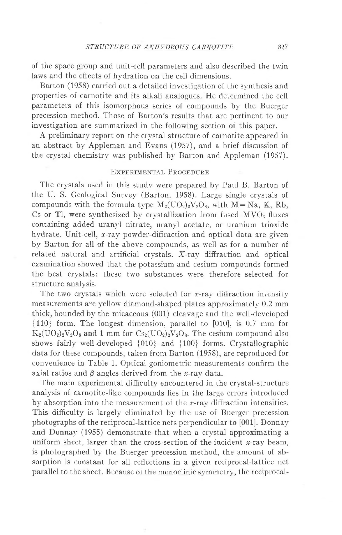of the space group and unit-cell parameters and also described the twin laws and the effects of hydration on the cell dimensions.

Barton (1958) carried out a detailed investigation of the synthesis and properties of carnotite and its alkali analogues. He determined the cell parameters of this isomorphous series of compounds by the Buerger precession method. Those of Barton's results that are pertinent to our investigation are summarized in the following section of this paper.

A preliminary report on the crystal structure of carnotite appeared in an abstract by Appleman and Evans (1957), and a brief discussion of the crystal chemistry was published by Barton and Appleman (1957).

# EXPERIMENTAL PROCEDURE

The crystals used in this study were prepared by Paul B. Barton of the U. S. Geological Survey (Barton, 1958). Large single crystals of compounds with the formula type  $M_2(UO_2)_2V_2O_8$ , with  $M=Na$ , K, Rb, Cs or Tl, were synthesized by crystallization from fused  $\text{MVO}_3$  fluxes containing added uranyl nitrate, uranyl acetate, or uranium trioxide hydrate. Unit-cell,  $x$ -ray powder-diffraction and optical data are given by Barton for all of the above compounds, as well as for a number of related natural and artificial crystals. X-ray diffraction and optical examination showed that the potassium and cesium compounds formed the best crystals: these two substances were therefore selected for structure analysis.

The two crystals which were selected for x-ray diffraction intensity measurements are yellow diamond-shaped plates approximately 0.2 mm thick, bounded by the micaceous (001) cleavage and the well-developed 1110f form. The longest dimension, parallel to [010], is 0.7 mm for  $K_2({\rm UO}_2)_2V_2O_8$  and 1 mm for  $Cs_2({\rm UO}_2)_2V_2O_8$ . The cesium compound also shows fairly well-developed [010] and {100} forms. Crystallographic data for these compounds, taken from Barton (1958), are reproduced for convenience in Table 1. Optical goniometric measurements confirm the axial ratios and  $\beta$ -angles derived from the x-ray data.

The main experimental difficulty encountered in the crystal-structure analysis of carnotite-like compounds lies in the large errors introduced by absorption into the measurement of the x-ray diffraction intensities. This difficulty is largely eliminated by the use of Buerger precession photographs of the reciprocal-lattice nets perpendicular to [001]. Donnay and Donnay (1955) demonstrate that when a crystal approximating a uniform sheet, larger than the cross-section of the incident  $x$ -ray beam, is photographed by the Buerger precession method, the amount of absorption is constant for all reflections in a given reciprocal-lattice net parallel to the sheet. Because of the monoclinic symmetry, the reciprocal-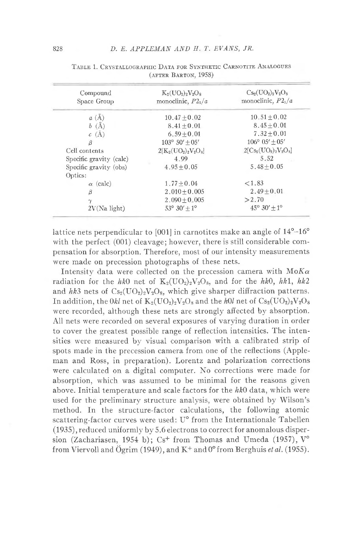| Compound                | $K_2({\rm UO_2})_2{\rm V_2O_8}$    | $Cs_2(UO_2)_2V_2O_8$              |
|-------------------------|------------------------------------|-----------------------------------|
| Space Group             | monoclinic, $P21/a$                | monoclinic, $P21/a$               |
| a(A)                    | $10.47 + 0.02$                     | $10.51 + 0.02$                    |
| b(A)                    | $8.41 + 0.01$                      | $8.45 + 0.01$                     |
| c(A)                    | $6.59 + 0.01$                      | $7.32 + 0.01$                     |
| ß                       | $103^{\circ}$ 50' + 05'            | $106^{\circ}$ $05' \pm 05'$       |
| Cell contents           | $2[K_2({\rm UO_2})_2{\rm V_2O_8}]$ | $2[Cs_2(UO_2)_2V_2O_8]$           |
| Specific gravity (calc) | 4 9 9                              | 5.52                              |
| Specific gravity (obs)  | $4.95 + 0.05$                      | $5.48 + 0.05$                     |
| Optics:                 |                                    |                                   |
| $\alpha$ (calc)         | $1.77 + 0.04$                      | < 1.83                            |
| β                       | $2.010 + 0.005$                    | $2.49 + 0.01$                     |
| $\gamma$                | $2.090 + 0.005$                    | >2.70                             |
| $2V(Na$ light)          | $53^{\circ}$ 30' + 1 <sup>o</sup>  | $45^{\circ}$ 30' + 1 <sup>o</sup> |

|  |  |  |  |  |  |                      | TABLE 1. CRYSTALLOGRAPHIC DATA FOR SYNTHETIC CARNOTITE ANALOGUES |  |  |
|--|--|--|--|--|--|----------------------|------------------------------------------------------------------|--|--|
|  |  |  |  |  |  | (AFTER BARTON, 1958) |                                                                  |  |  |

lattice nets perpendicular to [001] in carnotites make an angle of  $14^{\circ}$ -16<sup>o</sup> with the perfect  $(001)$  cleavage; however, there is still considerable compensation for absorption. Therefore, most of our intensity measurements were made on precession photographs of these nets.

Intensity data were collected on the precession camera with  $M \circ K \alpha$ radiation for the hk0 net of  $K_2(\text{UO}_2)_2V_2O_8$ , and for the hk0, hk1, hk2 and  $h\bar{k}3$  nets of  $Cs_2(UO_2)_2V_2O_8$ , which give sharper diffraction patterns. In addition, the 0kl net of  $K_2(UO_2)_2V_2O_8$  and the h $\ell 0l$  net of  $Cs_2(UO_2)_2V_2O_8$ were recorded, aithough these nets are strongly affected by absorption. All nets were recorded on several exposures of varying duration in order to cover the greatest possible range of reflection intensities. The intensities were measured by visual comparison with a calibrated strip of spots made in the precession camera from one of the reflections (Appleman and Ross, in preparation). Lorentz and polarization corrections were calculated on a digital computer. No corrections were made for absorption, which was assumed to be minimal for the reasons given above. Initial temperature and scale factors for the  $hk0$  data, which were used for the preliminary structure analysis, were obtained by Wilson's method. In the structure-factor calculations, the following atomic scattering-factor curves were used: U° from the Internationale Tabellen (1935), reduced uniformiy by 5.6 electrons to correct for anomalous dispersion (Zachariasen, 1954 b); Cs<sup>+</sup> from Thomas and Umeda (1957),  $V^{\circ}$ from Viervoll and Ögrim (1949), and  $K^+$  and  $0^{\circ}$  from Berghuis et al. (1955).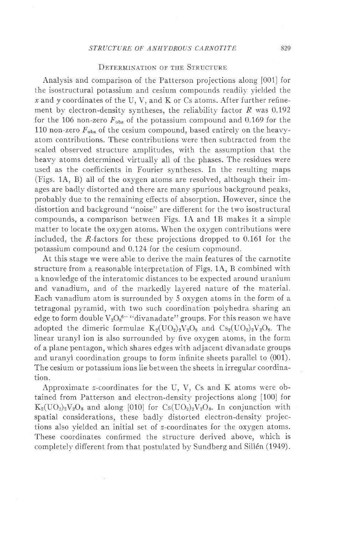## DETERMINATION OF THE STRUCTURE

Analysis and comparison of the Patterson projections along [001] for the isostructural potassium and cesium compounds readily yielded the x and y coordinates of the U, V, and K or Cs atoms. After further refinement by electron-density syntheses, the reliability factor  $R$  was 0.192 for the 106 non-zero  $F_{\text{obs}}$  of the potassium compound and 0.169 for the 110 non-zero  $F_{obs}$  of the cesium compound, based entirely on the heavyatom contributions. These contributions were then subtracted from the scaled observed structure amplitudes, with the assumption that the heavy atoms determined virtually all of the phases. The residues were used as the coefficients in Fourier svntheses. In the resulting maps (Figs. 1A, B) all of the oxygen atoms are resolved, although their images are badly distorted and there are many spurious background peaks, probably due to the remaining effects of absorption. However, since the distortion and background "noise" are different for the two isostructural compounds, a comparison between Figs. 1A and 18 makes it a simple matter to locate the oxygen atoms. When the oxygen contributions were included, the R-factors for these projections dropped to 0.161 for the potassium compound and 0.124 for the cesium copmound.

At this stage we were able to derive the main features of the carnotite structure from a reasonable interpretation of Figs. 1A, B combined with a knowledge of the interatomic distances to be expected around uraniurn and vanadium, and of the markedly layered nature of the material. Each vanadium atom is surrounded by  $5$  oxygen atoms in the form of a tetragonal pyramid, with two such coordination polyhedra sharing an edge to form double  $V_2O_8^{6-}$  "divanadate" groups. For this reason we have adopted the dimeric formulae  $K_2( U O_2)_2 V_2 O_8$  and  $Cs_2( U O_2)_2 V_2 O_8$ . The linear uranyl ion is also surrounded by five oxygen atoms, in the form of a plane pentagon, which shares edges with adjacent divanadate groups and uranyl coordination groups to form infinite sheets parallel to (001). The cesium or potassium ions lie between the sheets in irregular coordination.

Approximate z-coordinates for the U, V, Cs and K atoms were obtained from Patterson and electron-density projections along [100] for  $K_2({\rm UO}_2)_2V_2O_8$  and along [010] for  $Cs({\rm UO}_2)_2V_2O_8$ . In conjunction with spatial considerations, these badly distorted eiectron-density projections also yielded an initial set of z-coordinates for the oxygen atoms. These coordinates confirmed the structure derived above, which is completely different from that postulated by Sundberg and Sillén (1949).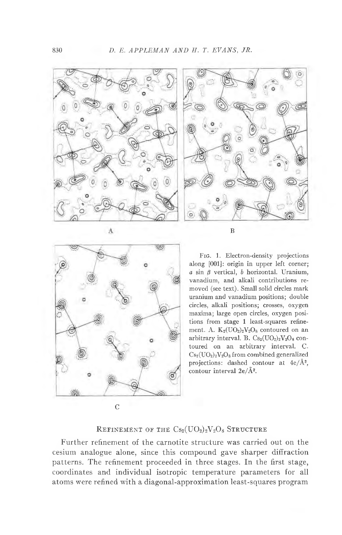



Frc. 1. Electron-density projections along [001]: origin in upper left corner;  $a \sin \beta$  vertical,  $b$  horizontal. Uranium, vanadium, and alkali contributions removed (see text). Small solid circles mark uranium and vanadium positions; double circles, alkali positions; crosses, oxygen maxima; large open circles, oxygen positions from stage 1 least-squares refinement. A.  $K_2(UO_2)_2V_2O_8$  contoured on an arbitrary interval. B.  $Cs_2(UO_2)_2V_2O_8$  contoured on an arbitrary interval. C.  $Cs<sub>2</sub>(UO<sub>2</sub>)<sub>2</sub>V<sub>2</sub>O<sub>8</sub>$  from combined generalized projections: dashed contour at  $4e/\AA^2$ , contour interval  $2e/\AA^2$ .

# REFINEMENT OF THE  $\text{Cs}_2(\text{UO}_2)_2\text{V}_2\text{O}_8$  Structure

Further refinement of the carnotite structure was carried out on the cesium analogue alone, since this compound gave sharper diffraction patterns. The refinement proceeded in three stages. In the first stage, coordinates and individual isotropic temperature parameters for all atoms were refined with a diagonal-approximation least-squares program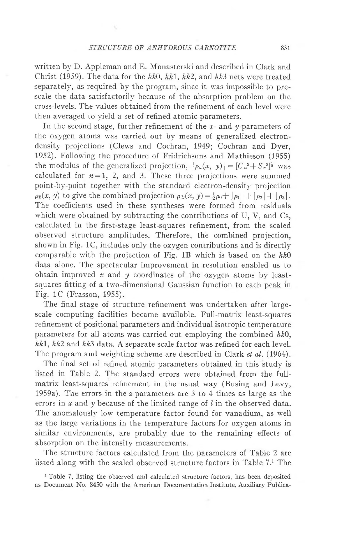written by D. Appleman and E. Monasterski and described in Clark and Christ (1959). The data for the hk0, hk1, hk2, and hk3 nets were treated separately, as required by the program, since it was impossible to prescale the data satisfactorily because of the absorption problem on the crosslevels. The values obtained from the refinement of each level were then averaged to yield a set of refined atomic parameters.

In the second stage, further refinement of the  $x$ - and  $y$ -parameters of the oxygen atoms was carried out by means of generalized electrondensity projections (Clews and Cochran, 1949; Cochran and Dyer, 1952). Following the procedure of Fridrichsons and Mathieson (1955) the modulus of the generalized projection,  $|\rho_n(x, y)| = [C_n^2 + S_n^2]$  was calculated for  $n=1$ , 2, and 3. These three projections were summed point-by-point together with the standard electron-density projection  $\rho_0(x, y)$  to give the combined projection  $\rho_2(x, y) = \frac{1}{2}\rho_0 + |\rho_1| + |\rho_2| + |\rho_3|$ . The coefficients used in these syntheses were formed from residuals which were obtained by subtracting the contributions of  $U, V$ , and  $Cs$ , calculated in the first-stage least-squares refinement, from the scaled observed structure amplitudes. Therefore, the combined projection, shown in Fig. 1C, includes only the oxygen contributions and is directly comparable with the projection of Fig. 1B which is based on the  $hk0$ data alone. The spectacular improvement in resolution enabled us to obtain improved  $x$  and  $y$  coordinates of the oxygen atoms by leastsquares fitting of a two-dimensional Gaussian function to each peak in Fig. 1C (Frasson, 1955).

The final stage of structure refinement was undertaken after largescale computing facilities became available. Full-matrix least-squares refinement of positional parameters and individual isotropic temperature parameters for all atoms was carried out employing the combined  $hk0$ ,  $h\&1$ ,  $h\&2$  and  $h\&3$  data. A separate scale factor was refined for each level. The program and weighting scheme are described in Clark et al. (1964).

The final set of refined atomic parameters obtained in this study is listed in Table 2. The standard errors were obtained from the fullmatrix ieast-squares refinement in the usual way (Busing and Levy, 1959a). The errors in the z parameters are 3 to 4 times as large as the errors in x and y because of the limited range of  $l$  in the observed data. The anomalously low temperature factor found for vanadium, as well as the large variations in the temperature factors for oxygen atoms in similar environments, are probably due to the remaining effects of absorption on the intensity measurements.

The structure factors calculated from the parameters of Table 2 are listed along with the scaled observed structure factors in Table 7.1 The

<sup>1</sup> Table 7, listing the observed and calculated structure factors, has been deposited as Document No. 8450 with the American Documentation Institute, Auxiliary Publica-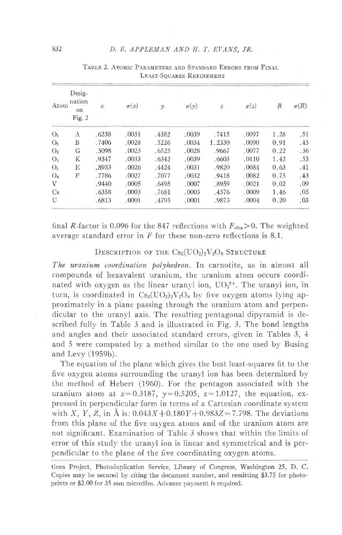| Atom           | Desig-<br>nation<br><sub>on</sub><br>Fig. 2 | x     | $\sigma(x)$ | y     | $\sigma(y)$ | $\mathcal{Z}$ | $\sigma(z)$ | B    | $\sigma(B)$ |
|----------------|---------------------------------------------|-------|-------------|-------|-------------|---------------|-------------|------|-------------|
| O <sub>1</sub> | А                                           | .6238 | .0031       | .4382 | .0039       | .7415         | .0097       | 1.28 | .51         |
| O <sub>2</sub> | B                                           | .7406 | .0028       | .5226 | .0034       | 1.2330        | .0090       | 0.91 | .45         |
| O <sub>3</sub> | G                                           | .5098 | .0023       | .6525 | .0028       | .9667         | .0077       | 0.22 | .36         |
| O <sub>4</sub> | Κ                                           | .9347 | .0033       | .6342 | .0039       | .6603         | .0110       | 1.42 | .55         |
| O <sub>5</sub> | Е                                           | .8953 | .0026       | .4424 | .0031       | .9820         | .0084       | 0.63 | .41         |
| $O_6$          | F                                           | .7786 | .0027       | .7077 | .0032       | .9418         | .0082       | 0.75 | .43         |
| V              |                                             | .9440 | .0005       | .6495 | .0007       | .8959         | .0021       | 0.02 | .09         |
| Cs             |                                             | .6358 | .0003       | .7681 | .0003       | .4576         | .0009       | 1.46 | .05         |
| U              |                                             | .6813 | .0001       | .4795 | .0001       | .9873         | .0004       | 0.20 | .03         |

TABLE 2. ATOMIC PARAMETERS AND STANDARD ERRORS FROM FINAL LEAST-SOUARES REFINEMENT

final R-factor is 0.096 for the 847 reflections with  $F_{obs} > 0$ . The weighted average standard error in  $F$  for these non-zero reflections is 8.1.

DESCRIPTION OF THE  $Cs_2(UO_2)_2V_2O_8$  STRUCTURE

The uranium coordination polyhedron. In carnotite, as in almost all compounds of hexavalent uranium, the uranium atom occurs coordinated with oxygen as the linear uranyl ion,  $UO_2^{2+}$ . The uranyl ion, in turn, is coordinated in  $Cs_2(UO_2)_2V_2O_8$  by five oxygen atoms lying approximately in a plane passing through the uranium atom and perpendicular to the uranyl axis. The resulting pentagonal dipyramid is described fully in Table 3 and is illustrated in Fig. 3. The bond lengths and angles and their associated standard errors, given in Tables 3, 4 and 5 were computed by a method similar to the one used by Busing and Levy (1959b).

The equation of the plane which gives the best least-squares fit to the five oxygen atoms surrounding the uranyl ion has been determined by the method of Hebert (1960). For the pentagon associated with the uranium atom at  $x=0.3187$ ,  $y=0.5205$ ,  $z=1.0127$ , the equation, expressed in perpendicular form in terms of a Cartesian coordinate system with X, Y, Z, in Å is:  $0.043X + 0.180Y + 0.983Z = 7.798$ . The deviations from this plane of the five oxygen atoms and of the uranium atom are not significant. Examination of Table 3 shows that within the limits of error of this study the uranyl ion is linear and symmetrical and is perpendicular to the plane of the five coordinating oxygen atoms.

tions Project, Photoduplication Service, Library of Congress, Washington 25, D. C. Copies may be secured by citing the document number, and remitting \$3.75 for photoprints or \$2.00 for 35 mm microfilm. Advance payment is required.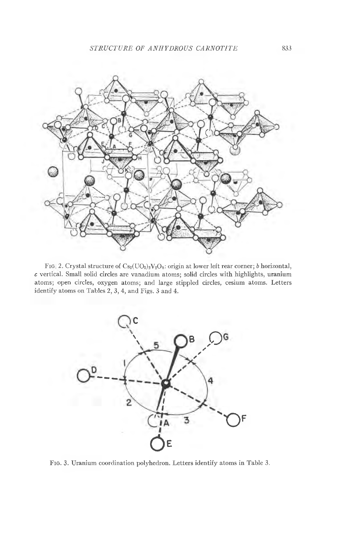

FIG 2. Crystal structure of  $Cs_2(UO_2)_2V_2O_8$ : origin at lower left rear corner; b horizontal,  $c$  vertical. Small solid circles are vanadium atoms; solid circles with highlights, uranium atoms; open circles, oxygen atoms; and large stippled circles, cesium atoms. Letters identify atoms on Tables 2, 3, 4, and Figs. 3 and 4.



FIG. 3. Uranium coordination polyhedron. Letters identify atoms in Table 3.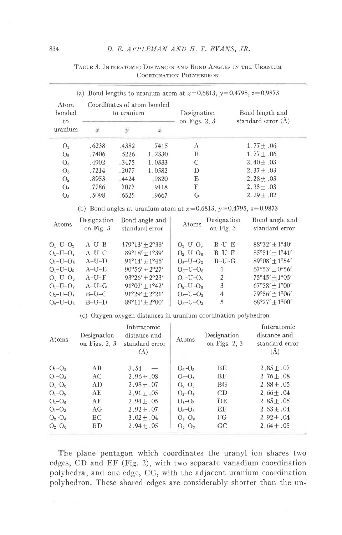| Atom<br>bonded<br>to | Coordinates of atom bonded                                              | to uranium |                                   | Designation<br>on Figs. 2, 3 |                   | Bond length and<br>standard error $(A)$ |  |  |
|----------------------|-------------------------------------------------------------------------|------------|-----------------------------------|------------------------------|-------------------|-----------------------------------------|--|--|
| uranium              | $\mathcal{Y}$<br>$\mathcal{X}$<br>$\overline{z}$                        |            |                                   |                              |                   |                                         |  |  |
| O <sub>1</sub>       | .6238                                                                   | .4382      | .7415                             | A                            |                   | $1.77 \pm .06$                          |  |  |
| O <sub>2</sub>       | .7406                                                                   | .5226      | 1.2330                            | $\bf{B}$                     |                   | $1.77 \pm .06$                          |  |  |
| O <sub>3</sub>       | .4902                                                                   | .3475      | 1.0333                            | $\mathcal{C}$                |                   | $2.40 \pm .03$                          |  |  |
| $O_6$                | .7214                                                                   | .2077      | 1.0582                            | D                            |                   | $2.37 \pm .03$                          |  |  |
| O <sub>5</sub>       | .8953                                                                   | .4424      | .9820                             | E                            |                   | $2.28 \pm .03$                          |  |  |
| $O_6$                | .7786                                                                   | .7077      | .9418                             | F                            |                   | $2.25 \pm .03$                          |  |  |
| O <sub>3</sub>       | .5098                                                                   | .6525      | .9667                             | G                            |                   | $2.29 \pm .02$                          |  |  |
|                      | (b) Bond angles at uranium atom at $x=0.6813$ , $y=0.4795$ , $z=0.9873$ |            |                                   |                              |                   |                                         |  |  |
|                      | Designation                                                             |            | Bond angle and                    |                              | Designation       | Bond angle and                          |  |  |
| Atoms                | on Fig. 3                                                               |            | standard error                    | Atoms                        | on Fig. 3         | standard error                          |  |  |
| $O_1 - U - O_2$      | $A-U-B$                                                                 |            | $179^{\circ}13' \pm 2^{\circ}38'$ | $O_2 - U - O_5$              | $B-U-E$           | $88^{\circ}32' \pm 1^{\circ}40'$        |  |  |
| $O_1$ -U- $O_3$      | $A-U-C$                                                                 |            | $89^{\circ}18' \pm 1^{\circ}39'$  | $O_2-U-O_6$                  | $B-U-F$           | $85^{\circ}51' \pm 1^{\circ}41'$        |  |  |
| $O_1 - U - O_6$      | $A-U-D$                                                                 |            | $91^{\circ}14' + 1^{\circ}46'$    | $O_2 - U - O_3$              | $B-U-G$           | $89^{\circ}08' + 1^{\circ}54'$          |  |  |
| $O1-U-O5$            | $A-U-E$                                                                 |            | $90^{\circ}56' \pm 2^{\circ}27'$  | $O_3 - U - O_6$              | $1\hskip-3.6pt .$ | $67^{\circ}53' \pm 0^{\circ}56'$        |  |  |
| $O_1 - U - O_6$      | $A-U-F$                                                                 |            | $93^{\circ}26' \pm 2^{\circ}23'$  | $O_6 - U - O_5$              | $\overline{2}$    | $75^{\circ}45' \pm 1^{\circ}05'$        |  |  |
| $O_1$ –U– $O_3$      | $A-U-G$                                                                 |            | $91^{\circ}02' \pm 1^{\circ}42'$  | $O5-U-O6$                    | 3                 | $67°58' \pm 1°00'$                      |  |  |
| $O_2 - U - O_3$      | $B-U-C$                                                                 |            | $91^{\circ}29' \pm 2^{\circ}21'$  | $O_6$ -U- $O_3$              | $\overline{4}$    | $79^{\circ}56' \pm 1^{\circ}06'$        |  |  |
| $O_2 - U - O_6$      | $B-U-D$                                                                 |            | $89^{\circ}11' \pm 2^{\circ}00'$  | $O_3 - U - O_3$              | 5                 | $68°27' + 1°00'$                        |  |  |
|                      | (c) Oxygen-oxygen distances in uranium coordination polyhedron          |            |                                   |                              |                   |                                         |  |  |
|                      |                                                                         |            | Interatomic                       |                              |                   | Interatomic                             |  |  |
|                      | Designation                                                             |            | distance and                      |                              | Designation       | distance and                            |  |  |
| Atoms                | on Figs. 2, 3                                                           |            | standard error                    | Atoms                        | on Figs. 2, 3     | standard error                          |  |  |
|                      |                                                                         |            | $(\AA)$                           |                              |                   | $(\AA)$                                 |  |  |
| $O_1 - O_2$          | AB                                                                      | 3.54       |                                   | $O_2-O_5$                    | ΒE                | $2.85 \pm .07$                          |  |  |
| $O_1 - O_3$          | AC                                                                      |            | $2.96 \pm .08$                    | $O_2-O_6$                    | ΒF                | $2.76 \pm .08$                          |  |  |
| $O_1 - O_6$          | AD                                                                      |            | $2.98 \pm .07$                    | $O_2-O_3$                    | BG                | $2.88 \pm .05$                          |  |  |
| $O_1 - O_5$          | AЕ                                                                      |            | $2.91 \pm .05$                    | $O_3-O_6$                    | CD                | $2.66 \pm .04$                          |  |  |
| $O_1 - O_6$          | AF                                                                      |            | $2.94 \pm .05$                    | $O_6-O_5$                    | DЕ                | $2.85 \pm .05$                          |  |  |
| $O_1 - O_3$          | AG                                                                      |            | $2.92 \pm .07$                    | $O_5 - O_6$                  | EF                | $2.53 \pm .04$                          |  |  |
| $O_2 - O_3$          | BC                                                                      |            | $3.02 \pm .04$                    | $O_6-O_3$                    | FG                | $2.92 \pm .04$                          |  |  |
| $O_2-O_6$            | BD                                                                      |            | $2.94 \pm .05$                    | $O_3-O_3$                    | GC                | $2.64 \pm .05$                          |  |  |

#### TABLE 3. INTERATOMIC DISTANCES AND BOND ANGLES IN THE URANIUM COORDINATION POLYHEDRON

(a) Bond lengths to uranium atom at  $x=0.6813$ ,  $y=0.4795$ ,  $z=0.9873$ 

The plane pentagon which coordinates the uranyl ion shares two edges, CD and EF (Fig. 2), with two separate vanadium coordination polyhedra; and one edge, CG, with the adjacent uranium coordination polyhedron. These shared edges are considerably shorter than the un-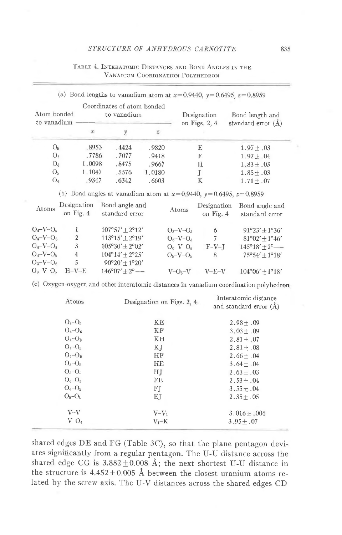|                            |                |                            |                                           |             |                  |                                | (a) Bond lengths to vanadium atom at $x=0.9440$ , $y=0.6495$ , $z=0.8959$ |
|----------------------------|----------------|----------------------------|-------------------------------------------|-------------|------------------|--------------------------------|---------------------------------------------------------------------------|
| Atom bonded<br>to vanadium |                |                            | Coordinates of atom bonded<br>to vanadium |             |                  | Designation<br>on Figs. $2, 4$ | Bond length and<br>standard error $(A)$                                   |
|                            |                | $25^\circ$                 | y                                         | $\mathbf Z$ |                  |                                |                                                                           |
| O <sub>5</sub>             |                | .8953                      | .4424                                     | .9820       |                  | Ε                              | $1.97 \pm .03$                                                            |
| $O_6$                      |                | .7786                      | .7077                                     | .9418       |                  | $_{\rm F}$                     | $1.92 \pm .04$                                                            |
| $O_3$                      |                | 1.0098                     | .8475                                     | .9667       |                  | Н                              | $1.83 \pm .03$                                                            |
| O <sub>5</sub>             |                | 1.1047                     | .5576                                     | 1.0180      |                  | J                              | $1.85 \pm .03$                                                            |
| O <sub>4</sub>             |                | .9347                      | .6342                                     | .6603       |                  | K                              | $1.71 \pm .07$                                                            |
|                            |                |                            |                                           |             |                  |                                | (b) Bond angles at vanadium atom at $x=0.9440$ , $y=0.6495$ , $z=0.8959$  |
| Atoms                      |                | Designation<br>on Fig. $4$ | Bond angle and<br>standard error          |             | Atoms            | Designation<br>on Fig. 4       | Bond angle and<br>standard error                                          |
| $O_4 - V - O_5$            | $\mathbf{1}$   |                            | $107^{\circ}57' \pm 2^{\circ}12'$         |             | $O_3 - V - O_5$  | 6                              | $91^{\circ}23' + 1^{\circ}36'$                                            |
| $O_4-V-O_6$                | $\overline{2}$ |                            | $113^{\circ}15' + 2^{\circ}19'$           |             | $O_6-V-O_5$      | $\overline{7}$                 | $81^{\circ}02' + 1^{\circ}46'$                                            |
| $O_4 - V - O_3$            | 3              |                            | $105^{\circ}30' \pm 2^{\circ}02'$         |             | $O_6 - V - O_5$  | $F-V-J$                        | $145^{\circ}18' + 2^{\circ}$ -                                            |
| $O_4 - V - O_5$            | $\overline{4}$ |                            | $104^{\circ}14' \pm 2^{\circ}25'$         |             | $O_5 - V - O_5$  | 8                              | $75^{\circ}54' \pm 1^{\circ}18'$                                          |
| $O3-V-O6$                  | 5              |                            | $90^{\circ}20' + 1^{\circ}20'$            |             |                  |                                |                                                                           |
| $O_3-V-O_5$                | $H-V-E$        |                            | $146^{\circ}07' + 2^{\circ}$ --           |             | $V$ – $O5$ – $V$ | $V-E-V$                        | $104^{\circ}06' + 1^{\circ}18'$                                           |

| TABLE 4. INTERATOMIC DISTANCES AND BOND ANGLES IN THE |  |  |  |
|-------------------------------------------------------|--|--|--|
| VANADIUM COORDINATION POLYHEDRON                      |  |  |  |

(c) Oxygen-oxygen and other interatomic distances in vanadium coordination polyhedron

| $O_4 - O_5$<br>KE<br>$2.98 \pm .09$<br>$O_4-O_6$<br>ΚF<br>$3.03 \pm .09$<br>$O_4-O_3$<br>KН<br>$2.81 \pm .07$<br>$O_4 - O_5$<br>ΚJ<br>$2.81 \pm .08$ | and standard error $(A)$ |
|------------------------------------------------------------------------------------------------------------------------------------------------------|--------------------------|
|                                                                                                                                                      |                          |
|                                                                                                                                                      |                          |
|                                                                                                                                                      |                          |
|                                                                                                                                                      |                          |
| $O_3-O_6$<br>HF<br>$2.66 \pm .04$                                                                                                                    |                          |
| $O_3 - O_5$<br>HE<br>$3.64 + .04$                                                                                                                    |                          |
| $O_3 - O_5$<br>ΗJ<br>$2.63 + .03$                                                                                                                    |                          |
| $O_6-O_5$<br>FE<br>$2.53 + .04$                                                                                                                      |                          |
| $O_6-O_5$<br>FJ<br>$3.55 + .04$                                                                                                                      |                          |
| $O5-O5$<br>ΕJ<br>$2.35 + .05$                                                                                                                        |                          |
|                                                                                                                                                      |                          |
| $V-V$<br>$V-V_1$<br>$3.016 \pm .006$                                                                                                                 |                          |
| $V-O_4$<br>$V_1-K$<br>$3.95 + .07$                                                                                                                   |                          |

shared edges DE and FG (Table 3C), so that the plane pentagon deviates significantly from a regular pentagon. The U-U distance across the shared edge CG is  $3.882 \pm 0.008$  Å; the next shortest U-U distance in the structure is  $4.452 \pm 0.005$  Å between the closest uranium atoms related by the screw axis. The U-V distances across the shared edges CD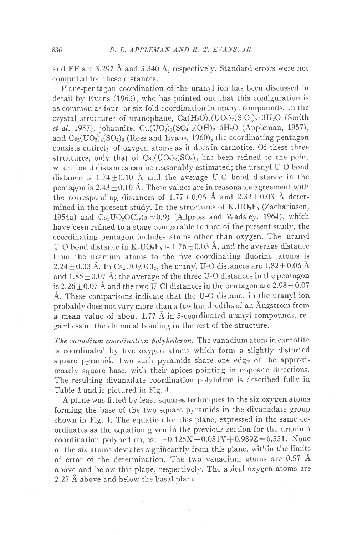and EF are 3.297 A and 3.340 A, respectivelv. Standard errors were not computed for these distances.

Plane-pentagon coordination of the uranyl ion has been discussed in detail by Evans (1963), who has pointed out that this configuration is as common as four- or six-fold coordination in uranyl compounds. In the crystal structures of uranophane,  $Ca(H_3O)_2(UO_2)_2(SiO_4)_2.3H_2O$  (Smith et al. 1957), johannite,  $Cu(UO<sub>2</sub>)<sub>2</sub>(SO<sub>4</sub>)<sub>2</sub>(OH)<sub>2</sub>·6H<sub>2</sub>O$  (Appleman, 1957), and  $Cs_2(UO_2)_2(SO_4)_3$  (Ross and Evans, 1960), the coordinating pentagon consists entirely of oxygen atoms as it does in carnotite. Of these three structures, only that of  $Cs_2(UO_2)_2(SO_4)_3$  has been refined to the point where bond distances can be reasonably estimated; the uranyl U-O bond distance is  $1.74 + 0.10$  Å and the average U-O bond distance in the pentagon is  $2.43 + 0.10$  Å. These values are in reasonable agreement with the corresponding distances of  $1.77 \pm 0.06$  Å and  $2.32 \pm 0.03$  Å determined in the present study. In the structures of  $K_3UO_2F_5$  (Zachariasen, 1954a) and  $Cs_xUO_2OCl_x(x \approx 0.9)$  (Allpress and Wadsley, 1964), which have been refined to a stage comparable to that of the present study, the coordinating pentagon includes atoms other than oxygen. The uranyi U-O bond distance in  $K_3UO_2F_5$  is 1.76  $\pm$  0.03 Å, and the average distance from the uranium atoms to the five coordinating fluorine atoms is 2.24  $\pm$  0.03 Å. In Cs<sub>x</sub>UO<sub>2</sub>OCl<sub>x</sub>, the uranyl U-O distances are 1.82  $\pm$  0.06 Å and  $1.85 + 0.07$  Å; the average of the three U-O distances in the pentagon is 2.26 + 0.07 Å and the two U-Cl distances in the pentagon are  $2.98 \pm 0.07$ A. These comparisons indicate that the U-O distance in the uranyl ion probably does not vary more than a few hundredths of an Angstrom from a mean value of about 1.77 A in S-coordinated uranyl compounds, regardless of the chemical bonding in the rest of the structure.

The vanadium coordination polyhederon. The vanadium atom in carnotite is coordinated by five oxygen atoms which form a slightly distorted square pyramid. Two such pyramids share one edge of the approximately square base, with their apices pointing in opposite directions. The resulting divanadate coordination polvhdron is described fully in Table 4 and is pictured in Fig. 4.

A plane was fitted by least-squares techniques to the six oxygen atoms forming the base of the two square pyramids in the divanadate group shown in Fig. 4. The equation for this plane, expressed in the same coordinates as the equation given in the previous section for the uranium coordination polyhedron, is:  $-0.125X - 0.081Y + 0.989Z = 6.551$ . None of the six atoms deviates significantly from this plane, within the limits of error of the determination. The two vanadium atoms are 0.57 A above and below this plane, respectively. The apical oxygen atoms are 2.27 Å above and below the basal plane.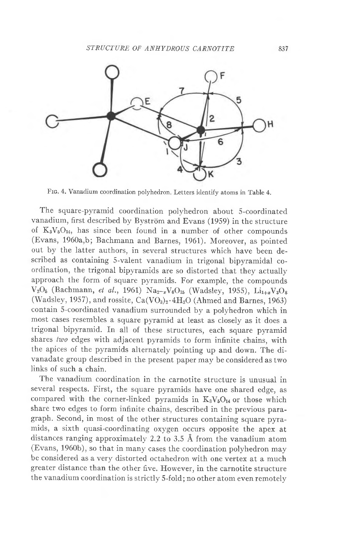

Frc. 4. Vanadium coordination polyhedron. Letters identify atoms in Table 4.

The square-pyramid coordination polyhedron about S-coordinated vanadium, first described by Byström and Evans (1959) in the structure of  $K_3V_5O_{14}$ , has since been found in a number of other compounds (Evans, 1960a,b; Bachmann and Barnes, 1961). Moreover, as pointed out by the latter authors, in several structures which have been described as containing S-valent vanadium in trigonal bipyramidal coordination, the trigonal bipyramids are so distorted that they actually approach the form of square pyramids. For example, the compounds  $V_2O_5$  (Bachmann, et al., 1961)  $Na_{2-x}V_6O_{15}$  (Wadsley, 1955),  $Li_{1+x}V_3O_8$ (Wadsley, 1957), and rossite,  $Ca(VO<sub>3</sub>)<sub>2</sub> \cdot 4H<sub>2</sub>O$  (Ahmed and Barnes, 1963) contain 5-coordinated vanadium surrounded by a polyhedron which in most cases resembles a square pyramid at least as closely as it does a trigonal bipyramid. In all of these structures, each square pyramid shares two edges with adjacent pyramids to form infinite chains, with the apices of the pyramids alternately pointing up and down. The divanadate group described in the present paper may be considered as two links of such a chain.

The vanadium coordination in the carnotite structure is unusual in several respects. First, the square pyramids have one shared edge, as compared with the corner-linked pyramids in  $K_3V_5O_{14}$  or those which share two edges to form infinite chains, described in the previous paragraph. Second, in most of the other structures containing square pyramids, a sixth quasi-coordinating oxygen occurs opposite the apex at distances ranging approximately 2.2 to 3.5 A from the vanadium atom (Evans, 1960b), so that in many cases the coordination polyhedron may be considered as a very distorted octahedron with one vertex at a much greater distance than the other five. Ilowever, in the carnotite structure the vanadium coordination is strictlv 5-fold: no other atom even remotelv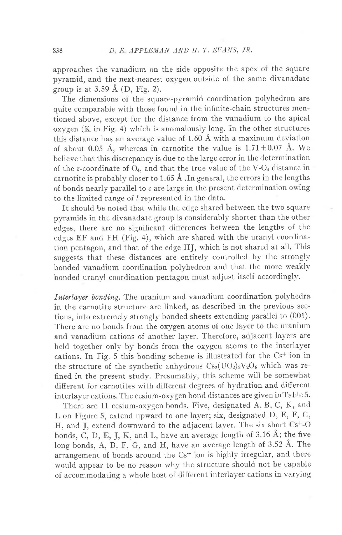approaches the vanadium on the side opposite the apex of the square pyramid, and the next-nearest oxygen outside of the same divanadate group is at  $3.59 \text{ Å}$  (D, Fig. 2).

The dimensions of the square-pyramid coordination polyhedron are quite comparable with those found in the infinite-chain structures mentioned above, except for the distance from the vanadium to the apical oxygen (K in Fig. 4) which is anomalously long. In the other structures this distance has an average value of 1.60 Å with a maximum deviation of about 0.05 Å, whereas in carnotite the value is  $1.71 \pm 0.07$  Å. We believe that this discrepancy is due to the large error in the determination of the z-coordinate of  $O_4$ , and that the true value of the V- $O_4$  distance in carnotite is probably closer to 1.65 Å. In general, the errors in the lengths of bonds nearly parallel to  $\epsilon$  are large in the present determination owing to the limited range of  $l$  represented in the data.

It should be noted that while the edge shared between the two square pyramids in the divanadate group is considerably shorter than the other edges, there are no significant differences between the lengths of the edges EF and FH (Fig. a), which are shared with the uranyl coordination pentagon, and that of the edge HJ, which is not shared at all. This suggests that these distances are entirely controlled by the strongly bonded vanadium coordination polyhedron and that the more weakly bonded uranyl coordination pentagon must adjust itself accordingly.

Interlayer bonding. The uranium and vanadium coordination polyhedra in the carnotite structure are linked, as described in the previous sections, into extremely strongly bonded sheets extending parallel to (001). There are no bonds from the oxygen atoms of one layer to the uranium and vanadium cations of another layer. Therefore, adjacent layers are held together only by bonds from the oxygen atoms to the interlayer cations. In Fig. 5 this bonding scheme is illustrated for the  $Cs<sup>+</sup>$  ion in the structure of the synthetic anhydrous  $Cs_2(UO_2)_2V_2O_8$  which was refined in the present study. Presumably, this scheme wili be somewhat different for carnotites with different degrees of hydration and different interlayer cations. The cesium-oxygen bond distances are given inTable 5.

There are 11 cesium-oxygenbonds. Five, designated A, B, C, K, and L on Figure 5, extend upward to one layer; six, designated  $D$ , E, F, G, H, and J, extend downward to the adjacent layer. The six short Cs<sup>+</sup>-O bonds, C, D, E, J, K, and L, have an average length of  $3.16 \text{ Å}$ ; the five long bonds, A, B, F, G, and H, have an average length of 3.52 A. The arrangement of bonds around the Cs<sup>+</sup> ion is highly irregular, and there would appear to be no reason why the structure should not be capable of accommodating a whole host of different interlayer cations in varying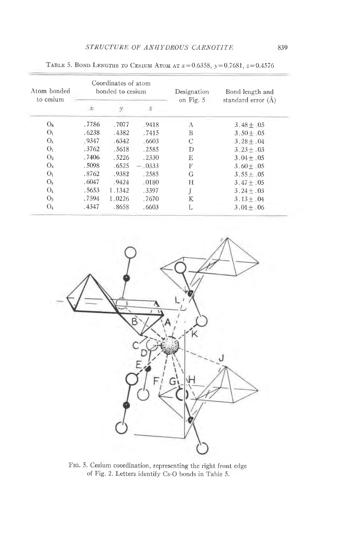| Atom bonded<br>to cesium |       | Coordinates of atom<br>bonded to cesium |          | Designation<br>on Fig. 5 | Bond length and<br>standard error (A) |  |
|--------------------------|-------|-----------------------------------------|----------|--------------------------|---------------------------------------|--|
|                          | x     |                                         | 뵹        |                          |                                       |  |
| $O_6$                    | .7786 | .7077                                   | .9418    | А                        | $3.48 \pm .05$                        |  |
| O <sub>1</sub>           | .6238 | .4382                                   | .7415    | B                        | $3.50 + 05$                           |  |
| O <sub>4</sub>           | 9347  | .6342                                   | .6603    | C                        | $3.28 \pm .04$                        |  |
| O <sub>1</sub>           | .3762 | .5618                                   | .2585    | D                        | $3 - 23 + 03$                         |  |
| O <sub>2</sub>           | .7406 | .5226                                   | .2330    | Е                        | $3.04 + .05$                          |  |
| O <sub>3</sub>           | .5098 | .6525                                   | $-.0333$ | F                        | $3.60 + .05$                          |  |
| O <sub>1</sub>           | .8762 | .9382                                   | .2585    | G                        | $3.55 \pm 0.05$                       |  |
| O <sub>5</sub>           | .6047 | .9424                                   | .0180    | Н                        | $3.47 + .05$                          |  |
| $O_4$                    | .5653 | 1.1342                                  | .3397    | J                        | $3.24 \pm .03$                        |  |
| O <sub>2</sub>           | .7594 | 1 0226                                  | .7670    | Κ                        | $3.13 \pm .04$                        |  |
| $O_4$                    | .4347 | .8658                                   | .6603    | L                        | $3.01 + 06$                           |  |

TABLE 5. BOND LENGTHS TO CESIUM ATOM AT  $x=0.6358$ ,  $y=0.7681$ ,  $z=0.4576$ 



FIG. 5. Cesium coordination, representing the right front edge of Fig. 2. Letters identify Cs-O bonds in Table 5.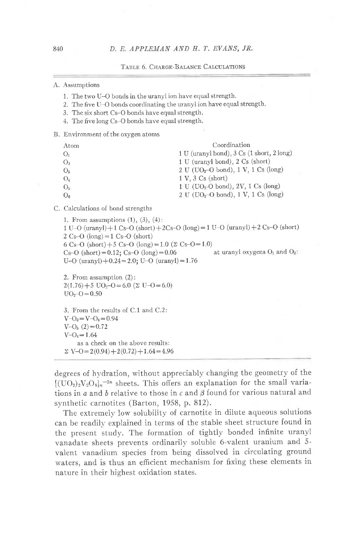TABLE 6. CHARGE-BALANCE CALCULATIONS

A. Assumptions

- 1. The two U-O bonds in the uranyl ion have equal strength.
- 2. The five U-O bonds coordinating the uranyl ion have equal strength.
- 3. The six short Cs-O bonds have equal strength.
- 4. The five long Cs-O bonds have equal strength.

B. Environment of the oxygen atoms

| Atom           | Coordination                                    |
|----------------|-------------------------------------------------|
| O <sub>t</sub> | $1 U (uranyl bond), 3 Cs (1 short, 2 long)$     |
| O <sub>2</sub> | 1 U (uranyl bond), 2 Cs (short)                 |
| O <sub>3</sub> | 2 U (UO <sub>2</sub> -O bond), 1 V, 1 Cs (long) |
| O <sub>4</sub> | 1 V. 3 Cs (short)                               |
| O <sub>5</sub> | $1 U (UQ2-O bond), 2V, 1 Cs (long)$             |
| $O_6$          | 2 U (UO <sub>2</sub> -O bond), 1 V, 1 Cs (long) |
|                |                                                 |

C. Calculations of bond strengths

1. From assumptions  $(1)$ ,  $(3)$ ,  $(4)$ :  $1 U$  -O (uranyl)  $+1$  Cs-O (short)  $+2Cs$ -O (long) = 1 U-O (uranyl)  $+2$  Cs-O (short)  $2 \text{Cs}-O \text{ (long)}=1 \text{Cs}-O \text{ (short)}$ 6 Cs-O (short) + 5 Cs-O (long) = 1.0 ( $\Sigma$  Cs-O = 1.0)  $Cs-O (short)=0.12; Cs-O (long)=0.06$  at uranyl oxygens  $O_1$  and  $O_2$ : U-O (uranyl) $+0.24 = 2.0$ ; U-O (uranyl) $= 1.76$ 

2. From assumption  $(2)$ :  $2(1.76) + 5 \text{ UO}_2 - 0 = 6.0 \ (\Sigma \text{ U} - 0 = 6.0)$  $UO<sub>2</sub>-O=0.50$ 

3. From the results of C.1 and C.2:  $V - O_3 = V - O_6 = 0.94$  $V-O<sub>5</sub>(2)=0.72$  $V-O_4=1.64$ as a check on the above results:  $\Sigma$  V-O = 2(0.94) + 2(0.72) + 1.64 = 4.96

degrees of hydration, without appreciably changing the geometry of the  $[(UO<sub>2</sub>)<sub>2</sub>V<sub>2</sub>O<sub>8</sub>]<sub>n</sub>$ <sup>-2n</sup> sheets. This offers an explanation for the small variations in a and b relative to those in  $c$  and  $\beta$  found for various natural and synrhetic carnotites (Barton, 1958, p. 812).

The extremely low solubility of carnotite in diiute aqueous solutions can be readily explained in terms of the stable sheet structure found in the present study. The formation of tightiy bonded infinite uranyl vanadate sheets prevents ordinarily solubie 6-valent uranium and 5 vaient vanadium species from being dissolved in circulating ground waters, and is thus an efficient mechanism for fixing these elements in nature in their highest oxidation states.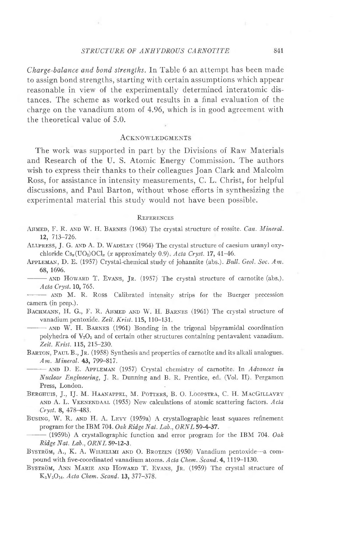Charge-balance and bond strengths. In Table 6 an attempt has been made to assign bond strengths, starting with certain assumptions which appear reasonable in view of the experimentally determined interatomic distances. The scheme as worked out results in a final evaluation of the charge on the vanadium atom of 4.96, which is in good agreement with the theoretical value of 5.0.

#### **ACKNOWLEDGMENTS**

The work was supported in part by the Divisions of Raw Materials and Research of the U.S. Atomic Energy Commission. The authors wish to express their thanks to their colleagues Joan Clark and Malcolm Ross, for assistance in intensity measurements, C. L. Christ, for helpful discussions, and Paul Barton, without whose efforts in synthesizing the experimental material this study would not have been possible.

#### **REFERENCES**

- AHMED, F. R. AND W. H. BARNES (1963) The crystal structure of rossite. Can. Mineral. 12, 713-726.
- ALLPRESS, J. G. AND A. D. WADSLEY (1964) The crystal structure of caesium uranyl oxychloride  $Cs_x(UO_2)OCl_x$  (x approximately 0.9). Acta Cryst. 17, 41-46.
- APPLEMAN, D. E. (1957) Crystal-chemical study of johannite (abs.). Bull. Geol. Soc. Am. 68, 1696.
	- AND HOWARD T. EVANS, JR. (1957) The crystal structure of carnotite (abs.). Acta Cryst. 10, 765.
- AND M. R. Ross Calibrated intensity strips for the Buerger precession camera (in prep.).
- BACHMANN, H. G., F. R. AHMED AND W. H. BARNES (1961) The crystal structure of vanadium pentoxide. Zeit. Krist. 115, 110-131.
- AND W. H. BARNES (1961) Bonding in the trigonal bipyramidal coordination polyhedra of V<sub>2</sub>O<sub>5</sub> and of certain other structures containing pentavalent vanadium. Zeit. Krist. 115, 215-230.
- BARTON, PAUL B., JR. (1958) Synthesis and properties of carnotite and its alkali analogues. Am. Mineral. 43, 799-817.
- AND D. E. APPLEMAN (1957) Crystal chemistry of carnotite. In Advances in Nuclear Engineering, J. R. Dunning and B. R. Prentice, ed. (Vol. II). Pergamon Press, London.
- BERGHUIS, J., IJ. M. HAANAPPEL, M. POTTERS, B. O. LOOPSTRA, C. H. MACGILLAVRY AND A. L. VEENENDAAL (1955) New calculations of atomic scattering factors. Acta Cryst. 8, 478-483.
- BUSING, W. R. AND H. A. LEVY (1959a) A crystallographic least squares refinement program for the IBM 704. Oak Ridge Nat. Lab., ORNL 59-4-37.
- $-$  (1959b) A crystallographic function and error program for the IBM 704. Oak Ridge Nat. Lab., ORNL 59-12-3.
- BYSTRÖM, A., K. A. WILHELMI AND O. BROTZEN (1950) Vanadium pentoxide-a compound with five-coordinated vanadium atoms. Acta Chem. Scand. 4, 1119-1130.
- BYSTRÖM, ANN MARIE AND HOWARD T. EVANS, JR. (1959) The crystal structure of K<sub>3</sub>V<sub>5</sub>O<sub>14</sub>. Acta Chem. Scand. 13, 377-378.